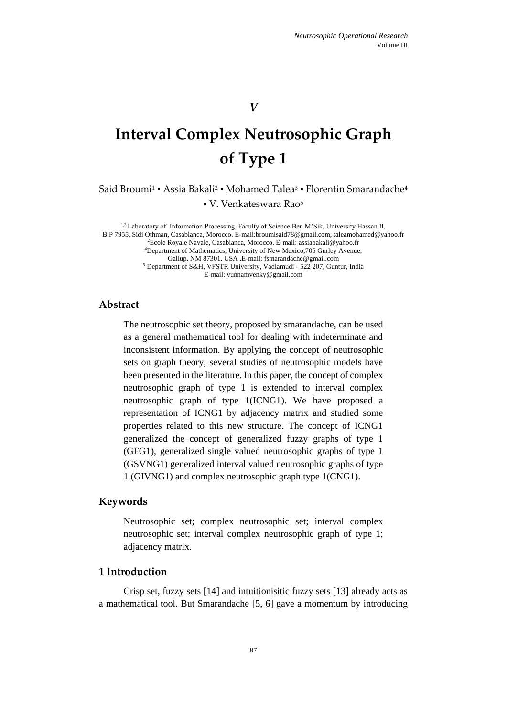# *V*

# **Interval Complex Neutrosophic Graph of Type 1**

Said Broumi $^1$  • Assia Bakali $^2$  • Mohamed Talea $^3$  • Florentin Smarandache $^4$ 

▪ V. Venkateswara Rao<sup>5</sup>

1,3 Laboratory of Information Processing, Faculty of Science Ben M'Sik, University Hassan II, B.P 7955, Sidi Othman, Casablanca, Morocco. E-mail:broumisaid78@gmail.com, taleamohamed@yahoo.fr <sup>2</sup>Ecole Royale Navale, Casablanca, Morocco. E-mail: assiabakali@yahoo.fr <sup>4</sup>Department of Mathematics, University of New Mexico,705 Gurley Avenue, Gallup, NM 87301, USA .E-mail: fsmarandache@gmail.com <sup>5</sup> Department of S&H, VFSTR University, Vadlamudi - 522 207, Guntur, India E-mail: vunnamvenky@gmail.com

# **Abstract**

The neutrosophic set theory, proposed by smarandache, can be used as a general mathematical tool for dealing with indeterminate and inconsistent information. By applying the concept of neutrosophic sets on graph theory, several studies of neutrosophic models have been presented in the literature. In this paper, the concept of complex neutrosophic graph of type 1 is extended to interval complex neutrosophic graph of type 1(ICNG1). We have proposed a representation of ICNG1 by adjacency matrix and studied some properties related to this new structure. The concept of ICNG1 generalized the concept of generalized fuzzy graphs of type 1 (GFG1), generalized single valued neutrosophic graphs of type 1 (GSVNG1) generalized interval valued neutrosophic graphs of type 1 (GIVNG1) and complex neutrosophic graph type 1(CNG1).

#### **Keywords**

Neutrosophic set; complex neutrosophic set; interval complex neutrosophic set; interval complex neutrosophic graph of type 1; adjacency matrix.

# **1 Introduction**

Crisp set, fuzzy sets [14] and intuitionisitic fuzzy sets [13] already acts as a mathematical tool. But Smarandache [5, 6] gave a momentum by introducing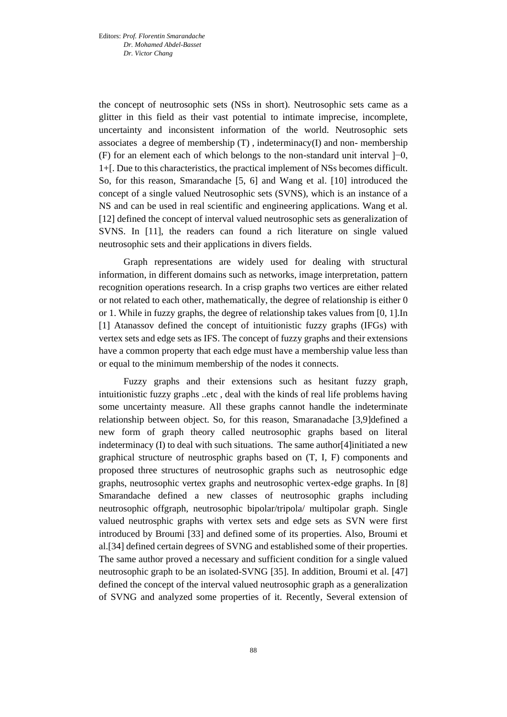the concept of neutrosophic sets (NSs in short). Neutrosophic sets came as a glitter in this field as their vast potential to intimate imprecise, incomplete, uncertainty and inconsistent information of the world. Neutrosophic sets associates a degree of membership  $(T)$ , indeterminacy $(I)$  and non- membership (F) for an element each of which belongs to the non-standard unit interval ]−0, 1+[. Due to this characteristics, the practical implement of NSs becomes difficult. So, for this reason, Smarandache [5, 6] and Wang et al. [10] introduced the concept of a single valued Neutrosophic sets (SVNS), which is an instance of a NS and can be used in real scientific and engineering applications. Wang et al. [12] defined the concept of interval valued neutrosophic sets as generalization of SVNS. In [11], the readers can found a rich literature on single valued neutrosophic sets and their applications in divers fields.

Graph representations are widely used for dealing with structural information, in different domains such as networks, image interpretation, pattern recognition operations research. In a crisp graphs two vertices are either related or not related to each other, mathematically, the degree of relationship is either 0 or 1. While in fuzzy graphs, the degree of relationship takes values from [0, 1].In [1] Atanassov defined the concept of intuitionistic fuzzy graphs (IFGs) with vertex sets and edge sets as IFS. The concept of fuzzy graphs and their extensions have a common property that each edge must have a membership value less than or equal to the minimum membership of the nodes it connects.

Fuzzy graphs and their extensions such as hesitant fuzzy graph, intuitionistic fuzzy graphs ..etc , deal with the kinds of real life problems having some uncertainty measure. All these graphs cannot handle the indeterminate relationship between object. So, for this reason, Smaranadache [3,9]defined a new form of graph theory called neutrosophic graphs based on literal indeterminacy (I) to deal with such situations. The same author[4]initiated a new graphical structure of neutrosphic graphs based on (T, I, F) components and proposed three structures of neutrosophic graphs such as neutrosophic edge graphs, neutrosophic vertex graphs and neutrosophic vertex-edge graphs. In [8] Smarandache defined a new classes of neutrosophic graphs including neutrosophic offgraph, neutrosophic bipolar/tripola/ multipolar graph. Single valued neutrosphic graphs with vertex sets and edge sets as SVN were first introduced by Broumi [33] and defined some of its properties. Also, Broumi et al.[34] defined certain degrees of SVNG and established some of their properties. The same author proved a necessary and sufficient condition for a single valued neutrosophic graph to be an isolated-SVNG [35]. In addition, Broumi et al. [47] defined the concept of the interval valued neutrosophic graph as a generalization of SVNG and analyzed some properties of it. Recently, Several extension of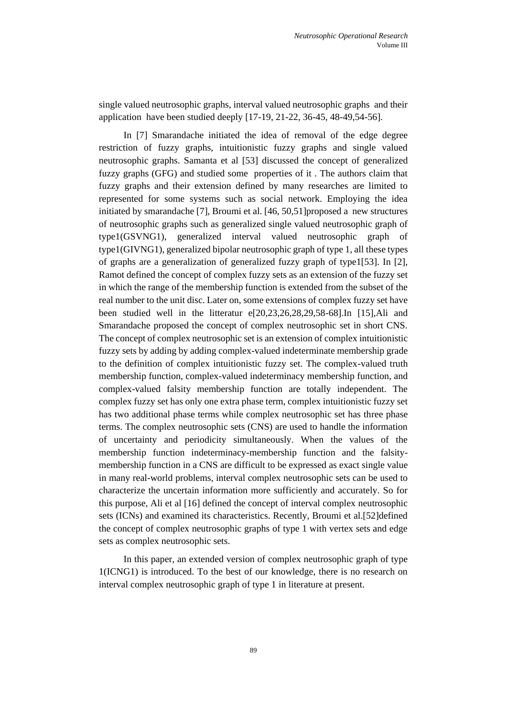single valued neutrosophic graphs, interval valued neutrosophic graphs and their application have been studied deeply [17-19, 21-22, 36-45, 48-49,54-56].

In [7] Smarandache initiated the idea of removal of the edge degree restriction of fuzzy graphs, intuitionistic fuzzy graphs and single valued neutrosophic graphs. Samanta et al [53] discussed the concept of generalized fuzzy graphs (GFG) and studied some properties of it . The authors claim that fuzzy graphs and their extension defined by many researches are limited to represented for some systems such as social network. Employing the idea initiated by smarandache [7], Broumi et al. [46, 50,51]proposed a new structures of neutrosophic graphs such as generalized single valued neutrosophic graph of type1(GSVNG1), generalized interval valued neutrosophic graph of type1(GIVNG1), generalized bipolar neutrosophic graph of type 1, all these types of graphs are a generalization of generalized fuzzy graph of type1[53]. In [2], Ramot defined the concept of complex fuzzy sets as an extension of the fuzzy set in which the range of the membership function is extended from the subset of the real number to the unit disc. Later on, some extensions of complex fuzzy set have been studied well in the litteratur e[20,23,26,28,29,58-68].In [15],Ali and Smarandache proposed the concept of complex neutrosophic set in short CNS. The concept of complex neutrosophic set is an extension of complex intuitionistic fuzzy sets by adding by adding complex-valued indeterminate membership grade to the definition of complex intuitionistic fuzzy set. The complex-valued truth membership function, complex-valued indeterminacy membership function, and complex-valued falsity membership function are totally independent. The complex fuzzy set has only one extra phase term, complex intuitionistic fuzzy set has two additional phase terms while complex neutrosophic set has three phase terms. The complex neutrosophic sets (CNS) are used to handle the information of uncertainty and periodicity simultaneously. When the values of the membership function indeterminacy-membership function and the falsitymembership function in a CNS are difficult to be expressed as exact single value in many real-world problems, interval complex neutrosophic sets can be used to characterize the uncertain information more sufficiently and accurately. So for this purpose, Ali et al [16] defined the concept of interval complex neutrosophic sets (ICNs) and examined its characteristics. Recently, Broumi et al.[52]defined the concept of complex neutrosophic graphs of type 1 with vertex sets and edge sets as complex neutrosophic sets.

In this paper, an extended version of complex neutrosophic graph of type 1(ICNG1) is introduced. To the best of our knowledge, there is no research on interval complex neutrosophic graph of type 1 in literature at present.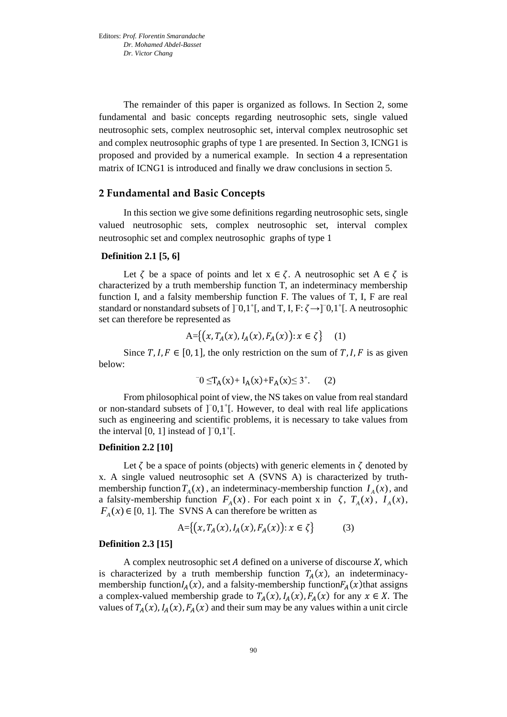The remainder of this paper is organized as follows. In Section 2, some fundamental and basic concepts regarding neutrosophic sets, single valued neutrosophic sets, complex neutrosophic set, interval complex neutrosophic set and complex neutrosophic graphs of type 1 are presented. In Section 3, ICNG1 is proposed and provided by a numerical example. In section 4 a representation matrix of ICNG1 is introduced and finally we draw conclusions in section 5.

#### **2 Fundamental and Basic Concepts**

In this section we give some definitions regarding neutrosophic sets, single valued neutrosophic sets, complex neutrosophic set, interval complex neutrosophic set and complex neutrosophic graphs of type 1

#### **Definition 2.1 [5, 6]**

Let  $\zeta$  be a space of points and let  $x \in \zeta$ . A neutrosophic set  $A \in \zeta$  is characterized by a truth membership function T, an indeterminacy membership function I, and a falsity membership function F. The values of T, I, F are real standard or nonstandard subsets of  $]$ <sup>-0</sup>,1<sup>+</sup>[, and T, I, F:  $\zeta \rightarrow ]$ <sup>-</sup>0,1<sup>+</sup>[. A neutrosophic set can therefore be represented as

$$
A = \{(x, T_A(x), I_A(x), F_A(x)) : x \in \zeta\} \quad (1)
$$

Since T, I,  $F \in [0, 1]$ , the only restriction on the sum of T, I, F is as given below:

$$
{}^{-}0 \leq T_A(x) + I_A(x) + F_A(x) \leq 3^+.
$$
 (2)

From philosophical point of view, the NS takes on value from real standard or non-standard subsets of ]<sup>-</sup>0,1<sup>+</sup>[. However, to deal with real life applications such as engineering and scientific problems, it is necessary to take values from the interval  $[0, 1]$  instead of  $]$ <sup>-</sup>0,1<sup>+</sup>[.

#### **Definition 2.2 [10]**

Let  $\zeta$  be a space of points (objects) with generic elements in  $\zeta$  denoted by x. A single valued neutrosophic set A (SVNS A) is characterized by truthmembership function  $T_A(x)$ , an indeterminacy-membership function  $I_A(x)$ , and a falsity-membership function  $F_A(x)$ . For each point x in  $\zeta$ ,  $T_A(x)$ ,  $I_A(x)$ ,  $F_A(x) \in [0, 1]$ . The SVNS A can therefore be written as

$$
A = \{(x, T_A(x), I_A(x), F_A(x)) : x \in \zeta\}
$$
 (3)

#### **Definition 2.3 [15]**

A complex neutrosophic set  $A$  defined on a universe of discourse  $X$ , which is characterized by a truth membership function  $T_A(x)$ , an indeterminacymembership function $I_A(x)$ , and a falsity-membership function $F_A(x)$ that assigns a complex-valued membership grade to  $T_A(x)$ ,  $I_A(x)$ ,  $F_A(x)$  for any  $x \in X$ . The values of  $T_A(x)$ ,  $I_A(x)$ ,  $F_A(x)$  and their sum may be any values within a unit circle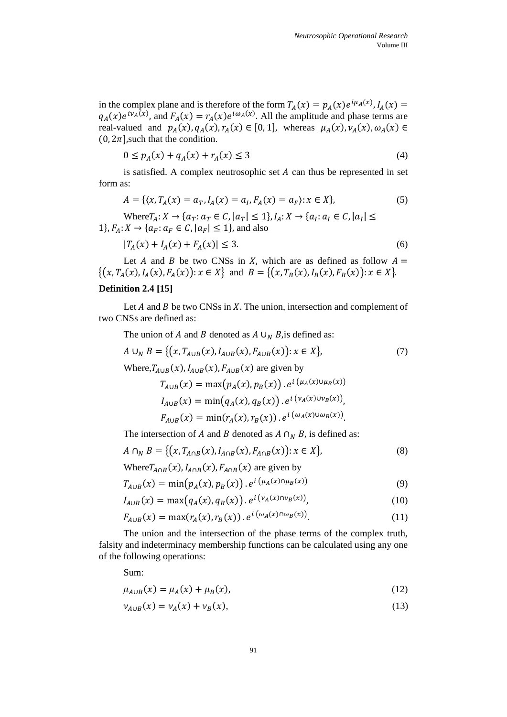in the complex plane and is therefore of the form  $T_A(x) = p_A(x)e^{i\mu_A(x)}$ ,  $I_A(x) =$  $q_A(x)e^{i\nu_A(x)}$ , and  $F_A(x) = r_A(x)e^{i\omega_A(x)}$ . All the amplitude and phase terms are real-valued and  $p_A(x)$ ,  $q_A(x)$ ,  $r_A(x) \in [0, 1]$ , whereas  $\mu_A(x)$ ,  $\nu_A(x)$ ,  $\omega_A(x) \in$  $(0, 2\pi]$ , such that the condition.

$$
0 \le p_A(x) + q_A(x) + r_A(x) \le 3
$$
 (4)

is satisfied. A complex neutrosophic set  $A$  can thus be represented in set form as:

$$
A = \{ (x, T_A(x)) = a_T, I_A(x) = a_I, F_A(x) = a_F \}: x \in X \},
$$
\n<sup>(5)</sup>

Where  $T_A: X \to \{a_T: a_T \in C, |a_T| \leq 1\}, I_A: X \to \{a_I: a_I \in C, |a_I| \leq 1\}$ 1},  $F_A: X \to \{a_F: a_F \in C, |a_F| \le 1\}$ , and also

$$
|T_A(x) + I_A(x) + F_A(x)| \le 3. \tag{6}
$$

Let A and B be two CNSs in X, which are as defined as follow  $A =$  $\{(x, T_A(x), I_A(x), F_A(x)) : x \in X\}$  and  $B = \{(x, T_B(x), I_B(x), F_B(x)) : x \in X\}.$ 

#### **Definition 2.4 [15]**

Let  $A$  and  $B$  be two CNSs in  $X$ . The union, intersection and complement of two CNSs are defined as:

The union of *A* and *B* denoted as  $A \cup_N B$ , is defined as:

$$
A \cup_{N} B = \{ (x, T_{A \cup B}(x), I_{A \cup B}(x), F_{A \cup B}(x)) : x \in X \},
$$
\n<sup>(7)</sup>

Where, $T_{A\cup B}(x)$ ,  $I_{A\cup B}(x)$ ,  $F_{A\cup B}(x)$  are given by

$$
T_{A \cup B}(x) = \max(p_A(x), p_B(x)). e^{i(\mu_A(x) \cup \mu_B(x))}
$$
  
\n
$$
I_{A \cup B}(x) = \min(q_A(x), q_B(x)). e^{i(\nu_A(x) \cup \nu_B(x))},
$$
  
\n
$$
F_{A \cup B}(x) = \min(r_A(x), r_B(x)). e^{i(\omega_A(x) \cup \omega_B(x))}.
$$

The intersection of A and B denoted as  $A \cap_{N} B$ , is defined as:

$$
A \cap_{N} B = \{ (x, T_{A \cap B}(x), I_{A \cap B}(x), F_{A \cap B}(x)) : x \in X \},
$$
\n(8)

Where
$$
T_{A\cap B}(x)
$$
,  $I_{A\cap B}(x)$ ,  $F_{A\cap B}(x)$  are given by  
\n
$$
T_{A\cup B}(x) = \min(p_A(x), p_B(x)) \cdot e^{i(\mu_A(x)\cap\mu_B(x))}
$$
\n(9)

$$
I_{A \cup B}(x) = \max(q_A(x), q_B(x)). e^{i(\nu_A(x) \cap \nu_B(x))},
$$
\n(10)

$$
F_{A \cup B}(x) = \max(r_A(x), r_B(x)) \cdot e^{i(\omega_A(x) \cap \omega_B(x))}.
$$
 (11)

The union and the intersection of the phase terms of the complex truth, falsity and indeterminacy membership functions can be calculated using any one of the following operations:

Sum:

$$
\mu_{A \cup B}(x) = \mu_A(x) + \mu_B(x), \tag{12}
$$

$$
\nu_{A \cup B}(x) = \nu_A(x) + \nu_B(x),
$$
\n(13)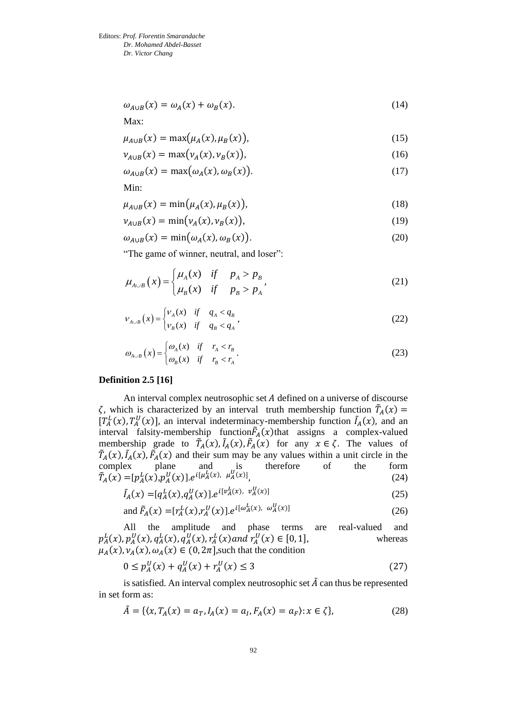$\omega_{A\cup B}(x) = \omega_A(x) + \omega_B$  $(x).$  (14)

Max:

$$
\mu_{A \cup B}(x) = \max(\mu_A(x), \mu_B(x)), \tag{15}
$$

$$
\nu_{A \cup B}(x) = \max(\nu_A(x), \nu_B(x)),\tag{16}
$$

$$
\omega_{A \cup B}(x) = \max(\omega_A(x), \omega_B(x)). \tag{17}
$$

Min:

$$
\mu_{A \cup B}(x) = \min(\mu_A(x), \mu_B(x)), \tag{18}
$$

$$
\nu_{A \cup B}(x) = \min(\nu_A(x), \nu_B(x)),\tag{19}
$$

$$
\omega_{A \cup B}(x) = \min(\omega_A(x), \omega_B(x)). \tag{20}
$$

"The game of winner, neutral, and loser":

$$
\mu_{A\cup B}(x) = \begin{cases} \mu_A(x) & \text{if } p_A > p_B \\ \mu_B(x) & \text{if } p_B > p_A \end{cases} \tag{21}
$$

$$
v_{A \cup B}(x) = \begin{cases} v_A(x) & \text{if } q_A < q_B \\ v_B(x) & \text{if } q_B < q_A \end{cases},\tag{22}
$$

$$
\omega_{A \cup B}(x) = \begin{cases} \omega_A(x) & \text{if } r_A < r_B \\ \omega_B(x) & \text{if } r_B < r_A \end{cases} \tag{23}
$$

#### **Definition 2.5 [16]**

An interval complex neutrosophic set  $A$  defined on a universe of discourse  $\zeta$ , which is characterized by an interval truth membership function  $\tilde{T}_A(x)$  =  $\overline{A}$  $[T_A^L(x), T_A^U(x)]$ , an interval indeterminacy-membership function  $\tilde{I}_A(x)$ , and an interval falsity-membership function $\tilde{F}_A(x)$ that assigns a complex-valued membership grade to  $\tilde{T}_A(x)$ ,  $\tilde{I}_A(x)$ ,  $\tilde{F}_A(x)$  for any  $x \in \zeta$ . The values of  $\tilde{T}_A(x)$ ,  $\tilde{I}_A(x)$ ,  $\tilde{F}_A(x)$  and their sum may be any values within a unit circle in the complex plane and is therefore of the form  $\tilde{T}_A(x) = [p_A^L(x), p_A^U(x)]. e^{i[\mu_A^L(x), \mu_A^U(x)]},$ (24)

$$
\tilde{I}_A(x) = [q_A^L(x), q_A^U(x)]. e^{i[v_A^L(x), v_A^U(x)]}
$$
\n(25)

and 
$$
\tilde{F}_A(x) = [r_A^L(x), r_A^U(x)] \cdot e^{i[\omega_A^L(x), \omega_A^U(x)]}
$$
 (26)

All the amplitude and phase terms are real-valued and  $p_A^L(x)$ ,  $p_A^U(x)$ ,  $q_A^L(x)$ ,  $q_A^U(x)$ ,  $r_A^L(x)$  and  $r_A^U(x) \in [0, 1]$ , whereas  $\mu_A(x), \nu_A(x), \omega_A(x) \in (0, 2\pi]$ , such that the condition

$$
0 \le p_A^U(x) + q_A^U(x) + r_A^U(x) \le 3
$$
\n(27)

is satisfied. An interval complex neutrosophic set  $\tilde{A}$  can thus be represented in set form as:

$$
\tilde{A} = \{ \langle x, T_A(x) = a_T, I_A(x) = a_I, F_A(x) = a_F \rangle : x \in \zeta \},\tag{28}
$$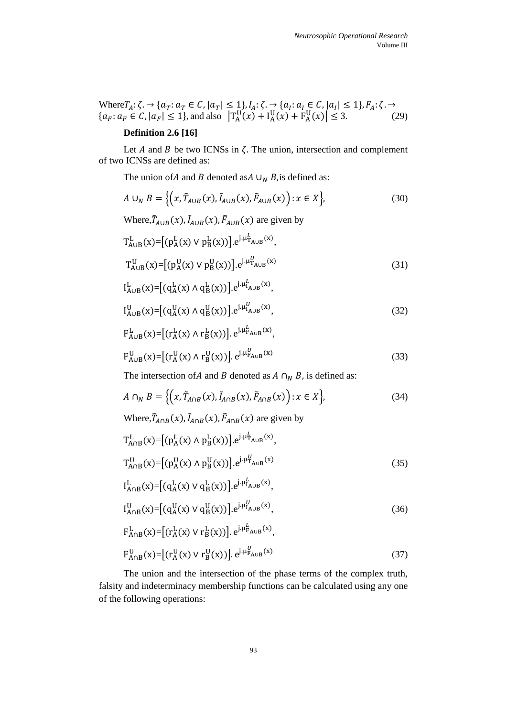Where  $T_A: \zeta \to \{a_T: a_T \in \mathcal{C}, |a_T| \leq 1\}$ ,  $I_A: \zeta \to \{a_I: a_I \in \mathcal{C}, |a_I| \leq 1\}$ ,  $F_A: \zeta \to \zeta$  ${a_F : a_F \in C, |a_F| \le 1}, \text{ and also } |T_A^U(x) + I_A^U(x) + F_A^U(x)| \le 3.$  (29)

# **Definition 2.6 [16]**

Let  $A$  and  $B$  be two ICNSs in  $\zeta$ . The union, intersection and complement of two ICNSs are defined as:

The union of A and B denoted as  $\cup_N B$ , is defined as:

$$
A \cup_{N} B = \left\{ \left( x, \tilde{T}_{A \cup B}(x), \tilde{I}_{A \cup B}(x), \tilde{F}_{A \cup B}(x) \right) : x \in X \right\},\tag{30}
$$

Where, 
$$
\tilde{T}_{A\cup B}(x)
$$
,  $\tilde{I}_{A\cup B}(x)$ ,  $\tilde{F}_{A\cup B}(x)$  are given by

$$
T_{A\cup B}^{L}(x) = [(p_{A}^{L}(x) \vee p_{B}^{L}(x))] \cdot e^{j \cdot \mu_{A\cup B}^{L}(x)},
$$
  
\n
$$
T_{A\cup B}^{U}(x) = [(p_{A}^{U}(x) \vee p_{B}^{U}(x))] \cdot e^{j \cdot \mu_{A\cup B}^{U}(x)}
$$
\n(31)

$$
I_{A\cup B}^{L}(x) = [(q_{A}^{L}(x) \wedge q_{B}^{L}(x))] \cdot e^{j \cdot \mu_{A\cup B}^{L}(x)},
$$
  
\n
$$
I_{A\cup B}^{U}(x) = [(q_{A}^{U}(x) \wedge q_{B}^{U}(x))] \cdot e^{j \cdot \mu_{A\cup B}^{U}(x)},
$$
\n(32)

$$
F_{A\cup B}^{L}(x) = [(r_{A}^{L}(x) \wedge r_{B}^{L}(x))], e^{j \cdot \mu_{F_{A\cup B}}^{L}(x)},
$$
  
\n
$$
F_{A\cup B}^{U}(x) = [(r_{A}^{U}(x) \wedge r_{B}^{U}(x))], e^{j \cdot \mu_{F_{A\cup B}}^{U}(x)}
$$
\n(33)

The intersection of A and B denoted as  $A \cap_N B$ , is defined as:

$$
A \cap_N B = \left\{ \left( x, \tilde{T}_{A \cap B}(x), \tilde{I}_{A \cap B}(x), \tilde{F}_{A \cap B}(x) \right) : x \in X \right\},\tag{34}
$$

Where, $\tilde{T}_{A \cap B}(x)$ ,  $\tilde{I}_{A \cap B}(x)$ ,  $\tilde{F}_{A \cap B}(x)$  are given by

$$
T_{A \cap B}^{L}(x) = [(p_{A}^{L}(x) \land p_{B}^{L}(x))] \cdot e^{j \cdot \mu_{A \cup B}^{L}(x)},
$$
  
\n
$$
T_{A \cap B}^{U}(x) = [(p_{A}^{U}(x) \land p_{B}^{U}(x))] \cdot e^{j \cdot \mu_{A \cup B}^{U}(x)}
$$
\n(35)

$$
I_{A \cap B}^{L}(x) = [(q_{A}^{L}(x) \vee q_{B}^{L}(x))] \cdot e^{j \cdot \mu_{A \cup B}^{L}(x)},
$$
  
\n
$$
I_{A \cap B}^{U}(x) = [(q_{A}^{U}(x) \vee q_{B}^{U}(x))] \cdot e^{j \cdot \mu_{A \cup B}^{U}(x)},
$$
\n(36)

$$
F_{A \cap B}^{L}(x) = [(r_{A}^{L}(x) \vee r_{B}^{L}(x))]. e^{j \cdot \mu_{A \cup B}^{L}(x)},
$$
  
\n
$$
F_{A \cap B}^{U}(x) = [(r_{A}^{U}(x) \vee r_{B}^{U}(x))]. e^{j \cdot \mu_{A \cup B}^{U}(x)}
$$
\n(37)

The union and the intersection of the phase terms of the complex truth, falsity and indeterminacy membership functions can be calculated using any one of the following operations: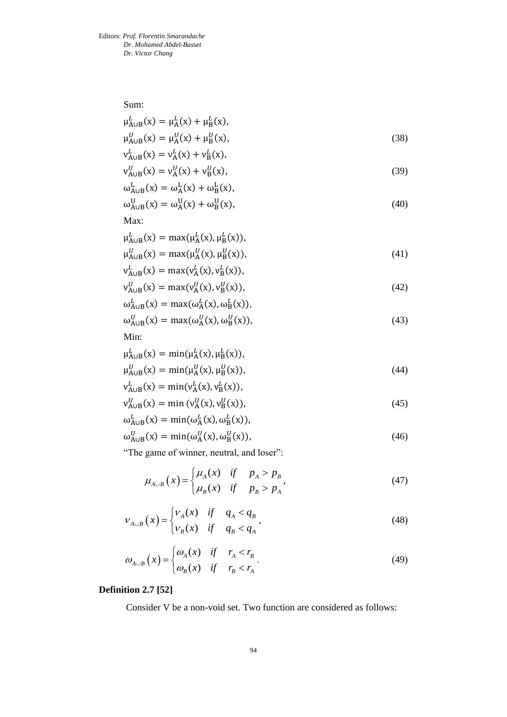Sum:

$$
\mu_{A \cup B}^{L}(x) = \mu_{A}^{L}(x) + \mu_{B}^{L}(x), \n\mu_{A \cup B}^{U}(x) = \mu_{A}^{U}(x) + \mu_{B}^{U}(x),
$$
\n(38)

$$
v_{A\cup B}^{L}(x) = v_{A}^{L}(x) + v_{B}^{L}(x),
$$
  
\n
$$
v_{A\cup B}^{U}(x) = v_{A}^{U}(x) + v_{B}^{U}(x),
$$
\n(39)

$$
\nu_{A\cup B}^{U}(x) = \nu_A^{U}(x) + \nu_B^{U}(x),
$$
  
\n
$$
\omega_{A\cup B}^{L}(x) = \omega_A^{L}(x) + \omega_B^{L}(x),
$$
\n(39)

$$
\omega_{A\cup B}^{U}(x) = \omega_{A}^{U}(x) + \omega_{B}^{U}(x),\tag{40}
$$

Max:

$$
\mu_{A \cup B}^{L}(x) = \max(\mu_{A}^{L}(x), \mu_{B}^{L}(x)),
$$
  
\n
$$
\mu_{A \cup B}^{U}(x) = \max(\mu_{A}^{U}(x), \mu_{B}^{U}(x)),
$$
\n(41)

$$
v_{A\cup B}^L(x) = \max(v_A^L(x), v_B^L(x)),
$$

$$
v_{A\cup B}^{U}(x) = \max(v_A^{U}(x), v_B^{U}(x)),
$$
  
\n
$$
\omega_{A\cup B}^{L}(x) = \max(\omega_A^{L}(x), \omega_B^{L}(x)),
$$
\n(42)

$$
\omega_{A \cup B}^{U}(x) = \max(\omega_A^{U}(x), \omega_B^{U}(x)),
$$
\n(43)

Min:

$$
\mu_{A\cup B}^{L}(x) = \min(\mu_{A}^{L}(x), \mu_{B}^{L}(x)), \n\mu_{A\cup B}^{U}(x) = \min(\mu_{A}^{U}(x), \mu_{B}^{U}(x)), \n\nu_{A\cup B}^{L}(x) = \min(\nu_{A}^{L}(x), \nu_{B}^{L}(x)),
$$
\n(44)

$$
\mathsf{v}_{\mathsf{A}\cup\mathsf{B}}^U(x) = \min\left(\mathsf{v}_{\mathsf{A}}^U(x), \mathsf{v}_{\mathsf{B}}^U(x)\right),\tag{45}
$$

$$
\omega_{A \cup B}^{L}(x) = \min(\omega_{A}^{L}(x), \omega_{B}^{L}(x)),
$$
  

$$
\omega_{A \cup B}^{U}(x) = \min(\omega_{A}^{U}(x), \omega_{B}^{U}(x)),
$$
 (46)

$$
\omega_{A\cup B}^U(x) = \min(\omega_A^U(x), \omega_B^U(x)),
$$

"The game of winner, neutral, and loser":

$$
\mu_{A\cup B}(x) = \begin{cases} \mu_A(x) & \text{if } p_A > p_B \\ \mu_B(x) & \text{if } p_B > p_A \end{cases} \tag{47}
$$

$$
V_{A\cup B}(x) = \begin{cases} V_A(x) & \text{if } q_A < q_B \\ V_B(x) & \text{if } q_B < q_A \end{cases} \tag{48}
$$

$$
\omega_{A\cup B}(x) = \begin{cases} \omega_A(x) & \text{if } r_A < r_B \\ \omega_B(x) & \text{if } r_B < r_A \end{cases} \tag{49}
$$

# **Definition 2.7 [52]**

Consider V be a non-void set. Two function are considered as follows: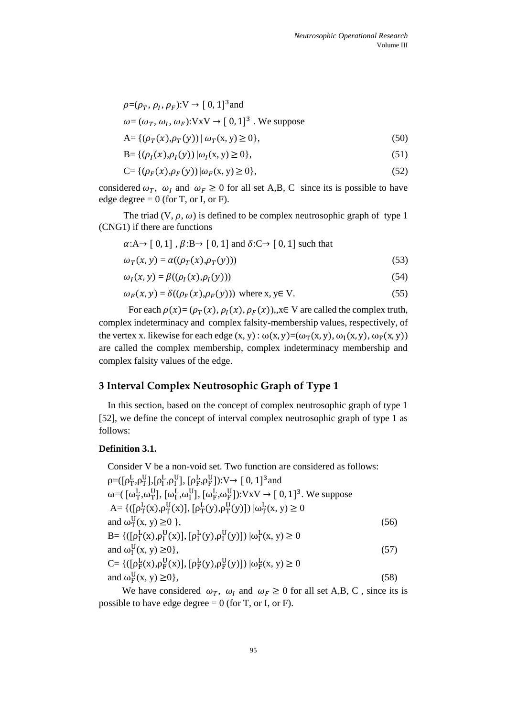$$
\rho = (\rho_T, \rho_I, \rho_F): V \to [0, 1]^3 \text{ and}
$$
  
\n
$$
\omega = (\omega_T, \omega_I, \omega_F): VxV \to [0, 1]^3. \text{ We suppose}
$$
  
\n
$$
A = \{ (\rho_T(x), \rho_T(y)) \mid \omega_T(x, y) \ge 0 \},
$$
\n(50)

$$
B = \{ (\rho_I(x), \rho_I(y)) | \omega_I(x, y) \ge 0 \},
$$
\n(51)

$$
C = \{(\rho_F(x), \rho_F(y)) \mid \omega_F(x, y) \ge 0\},\tag{52}
$$

considered  $\omega_T$ ,  $\omega_I$  and  $\omega_F \ge 0$  for all set A,B, C since its is possible to have edge degree  $= 0$  (for T, or I, or F).

The triad  $(V, \rho, \omega)$  is defined to be complex neutrosophic graph of type 1 (CNG1) if there are functions

$$
\alpha: A \to [0, 1], \beta: B \to [0, 1] \text{ and } \delta: C \to [0, 1] \text{ such that}
$$
  

$$
\omega_T(x, y) = \alpha((\rho_T(x), \rho_T(y)))
$$
 (53)

$$
\omega_I(x, y) = \beta((\rho_I(x), \rho_I(y))) \tag{54}
$$

$$
\omega_F(x, y) = \delta((\rho_F(x), \rho_F(y))) \text{ where } x, y \in V. \tag{55}
$$

For each  $\rho(x) = (\rho_T(x), \rho_I(x), \rho_F(x))$ ,  $x \in V$  are called the complex truth, complex indeterminacy and complex falsity-membership values, respectively, of the vertex x. likewise for each edge  $(x, y)$ :  $\omega(x, y) = (\omega_T(x, y), \omega_I(x, y), \omega_F(x, y))$ are called the complex membership, complex indeterminacy membership and complex falsity values of the edge.

# **3 Interval Complex Neutrosophic Graph of Type 1**

In this section, based on the concept of complex neutrosophic graph of type 1 [52], we define the concept of interval complex neutrosophic graph of type 1 as follows:

#### **Definition 3.1.**

Consider V be a non-void set. Two function are considered as follows:  $\rho = ([\rho_T^L, \rho_T^U], [\rho_T^L, \rho_I^U], [\rho_F^L, \rho_F^U]) : V \rightarrow [0, 1]^3$  and ω=( [ω<sup>L</sup><sub>T</sub>,ω<sup>U</sup>], [ω<sup>L</sup><sub>I</sub>,ω<sup>U</sup>], [ω<sup>L</sup><sub>F</sub>,ω<sup>U</sup><sub>F</sub>]): VxV → [ 0, 1]<sup>3</sup>. We suppose A= { $([\rho_T^L(x), \rho_T^U(x)], [\rho_T^L(y), \rho_T^U(y)]) |\omega_T^L(x, y) \ge 0$ and  $\omega_{\rm T}^{\rm U}(x, y) \ge 0$ , (56) B= { $([\rho_1^L(x), \rho_1^U(x)], [\rho_1^L(y), \rho_1^U(y)]) |\omega_1^L(x, y) \ge 0$ and  $\omega_I^U(x, y) \ge 0$ , (57) C= { $([\rho_F^L(x), \rho_F^U(x)], [\rho_F^L(y), \rho_F^U(y)]) |\omega_F^L(x, y) \ge 0$ and  $\omega_F^U(x, y) \ge 0$ , (58)

We have considered  $\omega_T$ ,  $\omega_I$  and  $\omega_F \ge 0$  for all set A,B, C, since its is possible to have edge degree  $= 0$  (for T, or I, or F).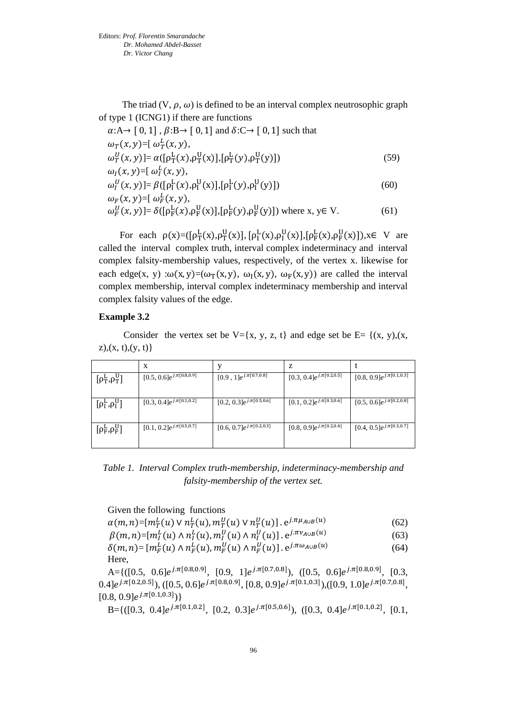The triad  $(V, \rho, \omega)$  is defined to be an interval complex neutrosophic graph of type 1 (ICNG1) if there are functions

$$
\alpha: A \rightarrow [0, 1], \beta: B \rightarrow [0, 1] \text{ and } \delta: C \rightarrow [0, 1] \text{ such that}
$$
  
\n
$$
\omega_T(x, y) = [\omega_T^L(x, y),
$$
  
\n
$$
\omega_T^U(x, y)] = \alpha([\rho_T^L(x), \rho_T^U(x)], [\rho_T^L(y), \rho_T^U(y)])
$$
  
\n
$$
\omega_I(x, y) = [\omega_I^L(x, y),
$$
\n(59)

$$
\omega_I^U(x, y)] = \beta([\rho_I^L(x), \rho_I^U(x)], [\rho_I^L(y), \rho_I^U(y)])
$$
\n
$$
\omega_F(x, y) = [\omega_F^L(x, y),
$$
\n(60)

$$
\omega_F^U(x, y) = \delta([\rho_F^L(x), \rho_F^U(x)], [\rho_F^L(y), \rho_F^U(y)])
$$
 where  $x, y \in V$ . (61)

For each  $\rho(x) = (\rho_T^L(x), \rho_T^U(x)]$ ,  $[\rho_T^L(x), \rho_T^U(x)]$ ,  $[\rho_F^L(x), \rho_F^U(x)]$ ,  $x \in V$  are called the interval complex truth, interval complex indeterminacy and interval complex falsity-membership values, respectively, of the vertex x. likewise for each edge(x, y) : $\omega(x, y) = (\omega_T(x, y), \omega_I(x, y), \omega_F(x, y))$  are called the interval complex membership, interval complex indeterminacy membership and interval complex falsity values of the edge.

#### **Example 3.2**

Consider the vertex set be  $V=[x, y, z, t]$  and edge set be  $E=[(x, y), (x, z, t)]$  $z$ ),(x, t),(y, t)}

|                                    | X                              |                                 | Z                                         |                                            |
|------------------------------------|--------------------------------|---------------------------------|-------------------------------------------|--------------------------------------------|
| $[\rho_T^L, \rho_T^U]$             | $[0.5, 0.6]e^{j.\pi[0.8,0.9]}$ | $[0.9, 1]e^{j.\pi[0.7,0.8]}$    | $[0.3, 0.4]e^{j.\pi[0.\overline{2,0.5}]}$ | $[0.8, 0.9]e^{j.\pi[0.1, 0.3]}$            |
| $[\rho_I^L, \rho_I^U]$             | $[0.3, 0.4]e^{j.\pi[0.1,0.2]}$ | $[0.2, 0.3]e^{j.\pi[0.5,0.6]}$  | $[0.1, 0.2]e^{j.\pi[0.3,0.6]}$            | $[0.5, 0.6]e^{j.\pi[0.2,0.8]}$             |
| $\lceil \rho_F^L, \rho_F^U \rceil$ | $[0.1, 0.2]e^{j.\pi[0.5,0.7]}$ | $[0.6, 0.7]e^{j.\pi[0.2, 0.3]}$ | $[0.8, 0.9]e^{j.\pi[0.2,0.4]}$            | $[0.4, 0.5]e^{j.\pi\overline{[0.3, 0.7]}}$ |

*Table 1. Interval Complex truth-membership, indeterminacy-membership and falsity-membership of the vertex set.*

Given the following functions

 $\alpha(m,n)$ =[ $m_T^L(u)$  V  $n_T^L(u)$ ,  $m_T^U(u)$  V  $n_T^U(u)$ ] .  $e^{j.\pi\mu_{A\cup B}(u)}$ (62)

 $\beta(m,n)$ =[ $m^L_I(u)\wedge n^L_I(u)$ ,  $m^U_I(u)\wedge n^U_I(u)]$  .  ${\rm e}^{j.\pi v_{A\cup B}(u)}$ (63)

$$
\delta(m,n) = [m_F^L(u) \wedge n_F^L(u), m_F^U(u) \wedge n_F^U(u)]. e^{j.\pi \omega_{A \cup B}(u)}
$$
(64)

A={([0.5, 0.6] $e^{j.\pi[0.8,0.9]},$  [0.9, 1] $e^{j.\pi[0.7,0.8]},$  ([0.5, 0.6] $e^{j.\pi[0.8,0.9]},$  [0.3,  $0.4]e^{j.\pi[0.2,0.5]}$ ),  $([0.5, 0.6]e^{j.\pi[0.8,0.9]}, [0.8, 0.9]e^{j.\pi[0.1,0.3]}), ([0.9, 1.0]e^{j.\pi[0.7,0.8]},$  $[0.8, 0.9]e^{j.\pi[0.1,0.3]})$ 

B={([0.3, 0.4] $e^{j.\pi[0.1,0.2]}$ , [0.2, 0.3] $e^{j.\pi[0.5,0.6]}$ ), ([0.3, 0.4] $e^{j.\pi[0.1,0.2]}$ , [0.1,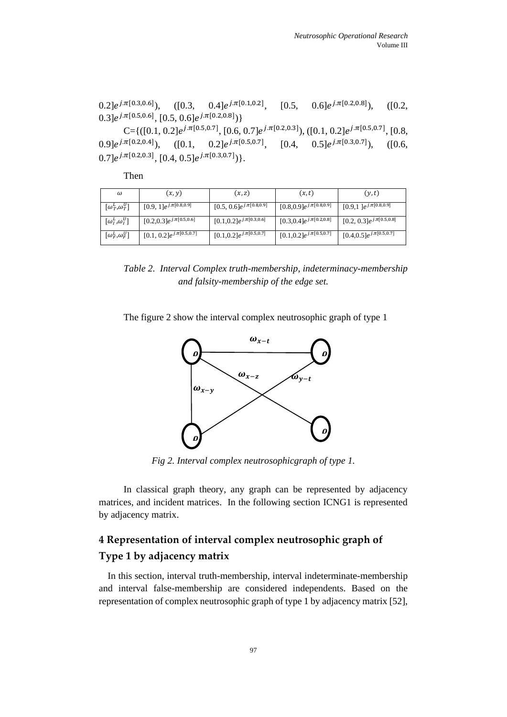$(0.2]e^{j.\pi[0.3,0.6]}),$   $( [0.3, 0.4]e^{j.\pi[0.1,0.2]},$   $[0.5, 0.6]e^{j.\pi[0.2,0.8]}),$   $( [0.2,$  $0.3]e^{j.\pi[0.5,0.6]}, [0.5,0.6]e^{j.\pi[0.2,0.8]})\}$ 

C={([0.1, 0.2] $e^{j.\pi[0.5,0.7]},$  [0.6, 0.7] $e^{j.\pi[0.2,0.3]}$ ), ([0.1, 0.2] $e^{j.\pi[0.5,0.7]},$  [0.8,  $(0.9]e^{j.\pi[0.2,0.4]}), \quad ([0.1, 0.2]e^{j.\pi[0.5,0.7]}, \quad [0.4, 0.5]e^{j.\pi[0.3,0.7]}), \quad ([0.6, 1.5]e^{j.\pi[0.3,0.7]}).$  $0.7]e^{j.\pi[0.2,0.3]}, [0.4,0.5]e^{j.\pi[0.3,0.7]})\}.$ 

Then

| $\omega$                              | (x, y)                          | (x, z)                          | (x,t)                                     | (y,t)                           |
|---------------------------------------|---------------------------------|---------------------------------|-------------------------------------------|---------------------------------|
| $\overline{[\omega^L_T, \omega^U_T]}$ | $[0.9, 1]e^{j.\pi[0.8, 0.9]}$   | $[0.5, 0.6]e^{j.\pi[0.8,0.9]}$  | $[0.8, 0.9]e^{j.\pi[0.8, 0.9]}$           | $[0.9, 1]e^{j.\pi[0.8, 0.9]}$   |
| $\left[\omega_I^L, \omega_I^U\right]$ | $[0.2, 0.3]e^{j.\pi[0.5, 0.6]}$ | $[0.1, 0.2]e^{j.\pi[0.3, 0.6]}$ | $[0.3, 0.4]e^{j.\pi[0.\overline{2,0.8}]}$ | $[0.2, 0.3]e^{j.\pi[0.5, 0.8]}$ |
| $[\omega_F^L, \omega_F^U]$            | $[0.1, 0.2]e^{j.\pi[0.5, 0.7]}$ | $[0.1, 0.2]e^{j.\pi[0.5, 0.7]}$ | $[0.1, 0.2]e^{j.\pi[0.5, 0.7]}$           | $[0.4, 0.5]e^{j.\pi[0.5, 0.7]}$ |

*Table 2. Interval Complex truth-membership, indeterminacy-membership and falsity-membership of the edge set.*

The figure 2 show the interval complex neutrosophic graph of type 1



*Fig 2. Interval complex neutrosophicgraph of type 1.*

In classical graph theory, any graph can be represented by adjacency matrices, and incident matrices. In the following section ICNG1 is represented by adjacency matrix.

# **4 Representation of interval complex neutrosophic graph of Type 1 by adjacency matrix**

In this section, interval truth-membership, interval indeterminate-membership and interval false-membership are considered independents. Based on the representation of complex neutrosophic graph of type 1 by adjacency matrix [52],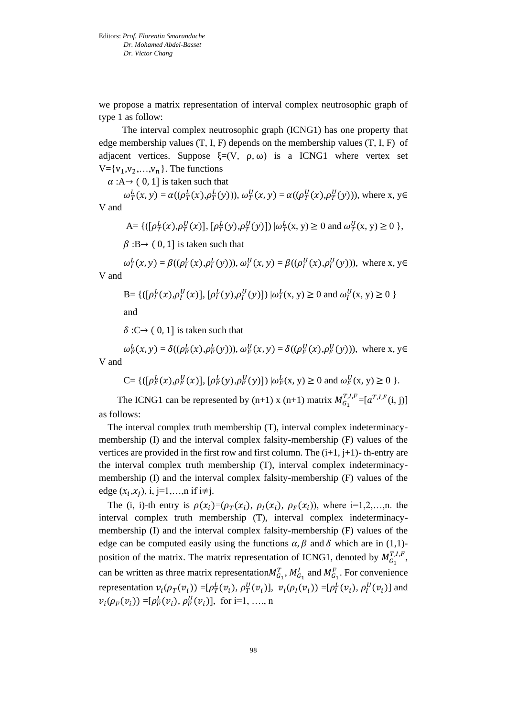we propose a matrix representation of interval complex neutrosophic graph of type 1 as follow:

 The interval complex neutrosophic graph (ICNG1) has one property that edge membership values  $(T, I, F)$  depends on the membership values  $(T, I, F)$  of adjacent vertices. Suppose  $\xi=(V, \rho, \omega)$  is a ICNG1 where vertex set  $V = \{v_1, v_2, \ldots, v_n\}$ . The functions

 $\alpha : A \rightarrow (0, 1]$  is taken such that

 $\omega_{T}^{L}(x, y) = \alpha((\rho_{T}^{L}(x), \rho_{T}^{L}(y))), \omega_{T}^{U}(x, y) = \alpha((\rho_{T}^{U}(x), \rho_{T}^{U}(y))),$  where x, y V and

A= {(
$$
\left[\rho_T^L(x), \rho_T^U(x)\right], \left[\rho_T^L(y), \rho_T^U(y)\right]\right) | \omega_T^L(x, y) \ge 0
$$
 and  $\omega_T^U(x, y) \ge 0$  },

 $\beta : B \rightarrow (0, 1]$  is taken such that

 $\omega_{I}^{L}(x, y) = \beta((\rho_{I}^{L}(x), \rho_{I}^{L}(y))), \omega_{I}^{U}(x, y) = \beta((\rho_{I}^{U}(x), \rho_{I}^{U}(y))),$  where x, y V and

B= {([
$$
\rho_I^L(x), \rho_I^U(x)
$$
], [ $\rho_I^L(y), \rho_I^U(y)$ ])  $|\omega_I^L(x, y) \ge 0$  and  $\omega_I^U(x, y) \ge 0$ }

and

 $\delta$ :C→ (0, 1] is taken such that

 $\omega_F^L(x, y) = \delta((\rho_F^L(x), \rho_F^L(y))), \omega_F^U(x, y) = \delta((\rho_F^U(x), \rho_F^U(y))),$  where x, y V and

$$
C = \{ ([\rho_F^L(x), \rho_F^U(x)], [\rho_F^L(y), \rho_F^U(y)] \mid \omega_F^L(x, y) \ge 0 \text{ and } \omega_F^U(x, y) \ge 0 \}.
$$

The ICNG1 can be represented by  $(n+1)$  x  $(n+1)$  matrix  $M_{G_1}^{T,I,F} = [a^{T,I,F}(i, j)]$ as follows:

The interval complex truth membership (T), interval complex indeterminacymembership (I) and the interval complex falsity-membership (F) values of the vertices are provided in the first row and first column. The  $(i+1, j+1)$ - th-entry are the interval complex truth membership (T), interval complex indeterminacymembership (I) and the interval complex falsity-membership (F) values of the edge  $(x_i, x_j)$ , i, j=1,...,n if i≠j.

The (i, i)-th entry is  $\rho(x_i)=(\rho_T(x_i), \rho_T(x_i), \rho_F(x_i))$ , where i=1,2,...,n. the interval complex truth membership (T), interval complex indeterminacymembership (I) and the interval complex falsity-membership (F) values of the edge can be computed easily using the functions  $\alpha$ ,  $\beta$  and  $\delta$  which are in (1,1)position of the matrix. The matrix representation of ICNG1, denoted by  $M_{G_1}^{T,I,F}$ , can be written as three matrix representation  $M_{G_1}^T$ ,  $M_{G_1}^I$  and  $M_{G_1}^F$ . For convenience representation  $v_i(\rho_T(v_i)) = [\rho_T^L(v_i), \rho_T^U(v_i)], v_i(\rho_I(v_i)) = [\rho_I^L(v_i), \rho_I^U(v_i)]$  and  $v_i(\rho_F(v_i)) = [\rho_F^L(v_i), \rho_F^U(v_i)], \text{ for } i=1, \ldots, n$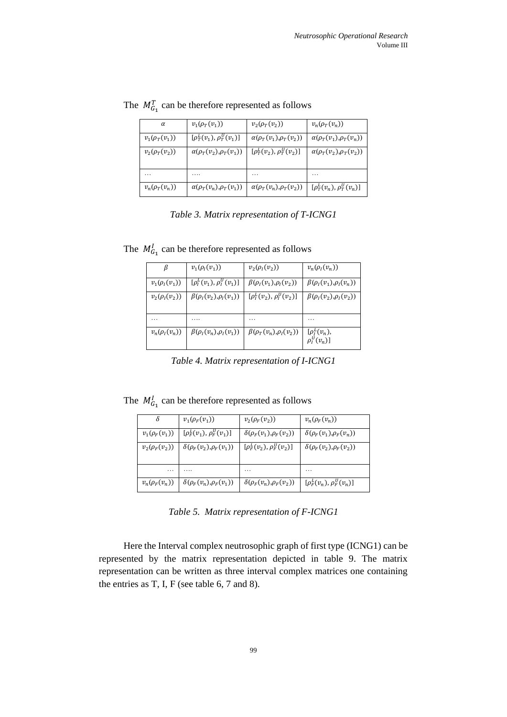| α                  | $v_1(\rho_T(v_1))$                 | $v_2(\rho_T(v_2))$                 | $v_n(\rho_T(v_n))$                 |
|--------------------|------------------------------------|------------------------------------|------------------------------------|
| $v_1(\rho_T(v_1))$ | $[\rho_T^L(v_1), \rho_T^U(v_1)]$   | $\alpha(\rho_T(v_1), \rho_T(v_2))$ | $\alpha(\rho_T(v_1), \rho_T(v_n))$ |
| $v_2(\rho_T(v_2))$ | $\alpha(\rho_T(v_2), \rho_T(v_1))$ | $[\rho_T^L(v_2), \rho_T^U(v_2)]$   | $\alpha(\rho_T(v_2), \rho_T(v_2))$ |
| $\cdots$           | .                                  | .                                  | .                                  |
| $v_n(\rho_T(v_n))$ | $\alpha(\rho_T(v_n), \rho_T(v_1))$ | $\alpha(\rho_T(v_n), \rho_T(v_2))$ | $[\rho_T^L(v_n), \rho_T^U(v_n)]$   |

The  $M_{G_1}^T$  can be therefore represented as follows

*Table 3. Matrix representation of T-ICNG1*

| β                  | $v_1(\rho_1(v_1))$                | $v_2(\rho_1(v_2))$                | $v_n(\rho_i(v_n))$                        |
|--------------------|-----------------------------------|-----------------------------------|-------------------------------------------|
| $v_1(\rho_1(v_1))$ | $[\rho_I^L(v_1), \rho_I^U(v_1)]$  | $\beta(\rho_I(v_1), \rho_I(v_2))$ | $\beta(\rho_I(v_1), \rho_I(v_n))$         |
| $v_2(\rho_1(v_2))$ | $\beta(\rho_I(v_2), \rho_I(v_1))$ | $[\rho_l^L(v_2), \rho_l^U(v_2)]$  | $\beta(\rho_{1}(v_{2}), \rho_{1}(v_{2}))$ |
| .                  |                                   | .                                 | .                                         |
| $v_n(\rho_l(v_n))$ | $\beta(\rho_I(v_n), \rho_I(v_1))$ | $\beta(\rho_T(v_n), \rho_I(v_2))$ | $[\rho_I^L(v_n),$<br>$\rho_l^U(v_n)$      |

The  $M_{G_1}^l$  can be therefore represented as follows

*Table 4. Matrix representation of I-ICNG1*

The  $M_{G_1}^l$  can be therefore represented as follows

| δ                  | $v_1(\rho_F(v_1))$                 | $v_2(\rho_F(v_2))$                 | $v_n(\rho_F(v_n))$                 |
|--------------------|------------------------------------|------------------------------------|------------------------------------|
| $v_1(\rho_F(v_1))$ | $[\rho_F^L(v_1), \rho_F^U(v_1)]$   | $\delta(\rho_F(v_1), \rho_F(v_2))$ | $\delta(\rho_F(v_1), \rho_F(v_n))$ |
| $v_2(\rho_F(v_2))$ | $\delta(\rho_F(v_2), \rho_F(v_1))$ | $[\rho_F^L(v_2), \rho_F^U(v_2)]$   | $\delta(\rho_F(v_2), \rho_F(v_2))$ |
| .                  |                                    | .                                  |                                    |
| $v_n(\rho_F(v_n))$ | $\delta(\rho_F(v_n), \rho_F(v_1))$ | $\delta(\rho_F(v_n), \rho_F(v_2))$ | $[\rho_F^L(v_n), \rho_F^U(v_n)]$   |

*Table 5. Matrix representation of F-ICNG1*

Here the Interval complex neutrosophic graph of first type (ICNG1) can be represented by the matrix representation depicted in table 9. The matrix representation can be written as three interval complex matrices one containing the entries as T, I, F (see table 6, 7 and 8).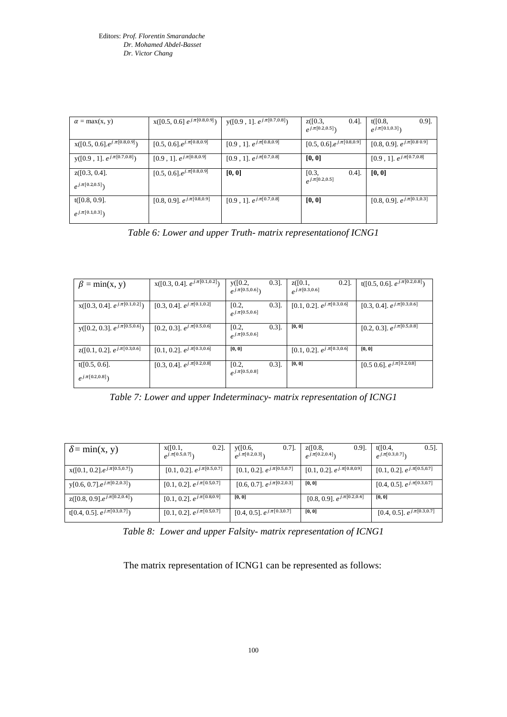| $\alpha = \max(x, y)$                   | $x([0.5, 0.6] e^{j. \pi[0.8, 0.9]})$  | $y([0.9, 1], e^{j.\pi[0.7, 0.8]})$  | $0.4$ ].<br>z([0.3,<br>$e^{j \pi [0.2,0.5]}$ | $0.9$ ].<br>t([0.8,<br>$e^{j \pi [0.1,0.3]})$ |
|-----------------------------------------|---------------------------------------|-------------------------------------|----------------------------------------------|-----------------------------------------------|
| $x([0.5, 0.6].e^{j.\pi[0.8,0.9]})$      | $[0.5, 0.6]$ . $e^{j \pi [0.8, 0.9]}$ | $[0.9, 1]$ . $e^{j \pi [0.8, 0.9]}$ | $[0.5, 0.6]$ . $e^{j \pi [0.8, 0.9]}$        | [0.8, 0.9]. $e^{j \pi [0.80.9]}$              |
| $y([0.9, 1], e^{j.\pi[0.7,0.8]})$       | $[0.9, 1]$ . $e^{j \pi [0.8, 0.9]}$   | $[0.9, 1]$ . $e^{j \pi [0.7, 0.8]}$ | [0,0]                                        | $[0.9, 1]$ . $e^{j.\overline{\pi[0.7,0.8]}}$  |
| z([0.3, 0.4].<br>$e^{j \pi [0.2,0.5]})$ | $[0.5, 0.6]$ . $e^{j \pi [0.8, 0.9]}$ | [0, 0]                              | $0.4$ ].<br>[0.3,<br>$e^{j.\pi[0.2,0.5]}$    | [0,0]                                         |
| t([0.8, 0.9].<br>$e^{j \pi [0.1,0.3]}$  | [0.8, 0.9]. $e^{j \pi [0.8,0.9]}$     | $[0.9, 1]$ . $e^{j \pi [0.7, 0.8]}$ | [0,0]                                        | [0.8, 0.9]. $e^{j \pi \overline{[0.1,0.3]}}$  |

*Table 6: Lower and upper Truth- matrix representationof ICNG1*

| $\beta = \min(x, y)$                           | $X([0.3, 0.4], e^{j \pi[0.1, 0.2]})$  | y([0.2,<br>$e^{j \pi [0.5,0.6]}$ | $0.3$ ]. | z([0.1,<br>$0.2$ ].<br>$\rho^{j. \pi[0.3, 0.6]}$ | $t([0.5, 0.6], e^{j \pi [0.2, 0.8]})$        |
|------------------------------------------------|---------------------------------------|----------------------------------|----------|--------------------------------------------------|----------------------------------------------|
| $x([0.3, 0.4], e^{j \pi[0.1, 0.2]})$           | [0.3, 0.4]. $e^{j \pi [0.1, 0.2]}$    | [0.2,<br>$e^{j.\pi[0.5,0.6]}$    | $0.3$ ]. | [0.1, 0.2]. $e^{j \pi \overline{[0.3,0.6]}}$     | [0.3, 0.4]. $e^{j \pi \overline{[0.3,0.6]}}$ |
| $y([0.2, 0.3], e^{j\overline{\pi[0.5, 0.6]}})$ | $[0.2, 0.3]$ . $e^{j \pi [0.5, 0.6]}$ | [0.2,<br>$e^{j.\pi[0.5,0.6]}$    | $0.3$ ]. | [0,0]                                            | [0.2, 0.3]. $e^{j\pi[0.5,0.8]}$              |
| $z([0.1, 0.2], e^{j\pi[0.3, 0.6]})$            | [0.1, 0.2]. $e^{j \pi [0.3,0.6]}$     | [0, 0]                           |          | [0.1, 0.2]. $e^{j \pi [0.3,0.6]}$                | [0,0]                                        |
| t([0.5, 0.6].<br>$e^{j \pi [0.2,0.8]}$         | [0.3, 0.4]. $e^{j \pi [0.2,0.8]}$     | [0.2,<br>$e^{j.\pi[0.5,0.8]}$    | $0.3$ ]. | [0, 0]                                           | [0.5 0.6]. $e^{j \pi [0.2,0.8]}$             |

*Table 7: Lower and upper Indeterminacy- matrix representation of ICNG1*

| $\delta = \min(x, y)$                         | x([0.1,<br>$0.2$ ].<br>$e^{j \pi [0.5,0.7]}$ | y([0.6,<br>$0.7$ ].<br>$e^{j \pi [0.2,0.3]}$ | z([0.8,<br>$0.9$ ].<br>$e^{j.\pi[0.2,0.4]}$                  | t([0.4,<br>$0.5$ ].<br>$e^{j \pi [0.3,0.7]}$        |
|-----------------------------------------------|----------------------------------------------|----------------------------------------------|--------------------------------------------------------------|-----------------------------------------------------|
| $X([0.1, 0.2].e^{j.\pi[0.5, 0.7]})$           | [0.1, 0.2]. $e^{j \pi [0.\overline{5,0.7}]}$ | [0.1, 0.2]. $e^{j \pi [0.5,0.7]}$            | [0.1, 0.2]. $e^{j \pi \overline{[0.8,0.9]}}$                 | [0.1, 0.2]. $e^{j \pi [0.5,0.7]}$                   |
| $y[0.6, 0.7]$ . $e^{j \pi[0.2, 0.3]}$         | [0.1, 0.2]. $e^{j \pi [0.5, 0.7]}$           | [0.6, 0.7]. $e^{j \pi [0.2,0.3]}$            | [0,0]                                                        | [0.4, 0.5]. $e^{j \pi [0.\overline{3,0.7}]}$        |
| $z([0.8, 0.9].e^{j.\pi[0.2,0.4]})$            | [0.1, 0.2]. $e^{j \pi [0.8,0.9]}$            | [0,0]                                        | [0.8, 0.9]. $e^{\overline{j} \cdot \overline{\pi[0.2,0.4]}}$ | [0,0]                                               |
| t[0.4, 0.5]. $e^{j \pi [0.\overline{3,0.7}]}$ | [0.1, 0.2]. $e^{j \pi \overline{[0.5,0.7]}}$ | [0.4, 0.5]. $e^{j \pi \overline{[0.3,0.7]}}$ | [0,0]                                                        | [0.4, 0.5]. $e^{j \cdot \pi \overline{[0.3, 0.7]}}$ |

*Table 8: Lower and upper Falsity- matrix representation of ICNG1*

The matrix representation of ICNG1 can be represented as follows: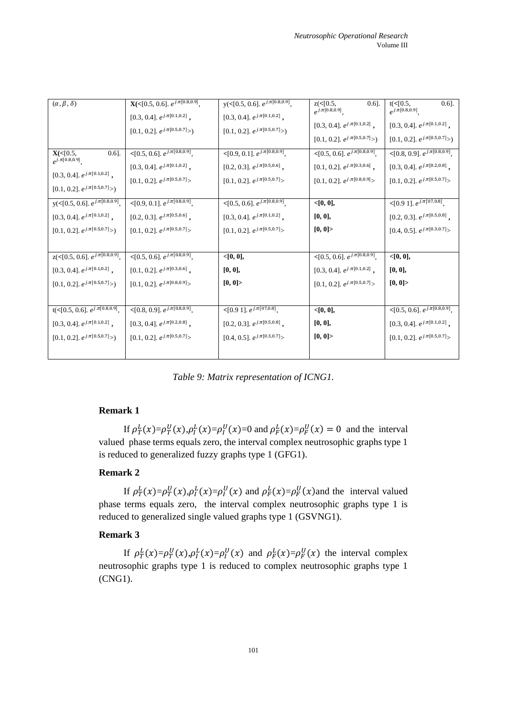| $(\alpha, \beta, \delta)$                    | <b>X</b> (<[0.5, 0.6]. $e^{j.\pi[0.8,0.9]}$ , | $y( < [0.5, 0.6], e^{j. \pi [0.8, 0.9]},$               | $z($ < [0.5,<br>$0.6$ ].                            | $t(<0.5$ ,<br>$0.6$ ].                                      |
|----------------------------------------------|-----------------------------------------------|---------------------------------------------------------|-----------------------------------------------------|-------------------------------------------------------------|
|                                              |                                               |                                                         | $e^{j.\pi[0.8,0.9]},$                               | $e^{j.\pi[0.8,0.9]}$                                        |
|                                              | $[0.3, 0.4].$ $e^{j. \pi [0.1, 0.2]}$ ,       | $[0.3,\,0.4].$ $e^{j.\pi[0.1,0.2]}$ ,                   |                                                     |                                                             |
|                                              |                                               |                                                         | $[0.3,\,0.4].$ $e^{j.\pi[0.1,0.2]}$ ,               | [0.3, 0.4]. $e^{j \pi [0.1,0.2]}$ ,                         |
|                                              | $[0.1,\,0.2].$ $e^{j.\pi[0.5,0.7]}>)$         | $[0.1,\,0.2].$ $e^{j.\pi[0.5,0.7]}{>})$                 | $[0.1,\,0.2].$ $e^{j.\pi[0.5,0.7]}>)$               | $[0.1, 0.2].$ $e^{j.\pi[0.5, 0.7]}$ $>$                     |
|                                              |                                               |                                                         |                                                     |                                                             |
| $X( \leq [0.5,$<br>$[0.6]$ .                 | $\leq$ [0.5, 0.6]. $e^{j.\pi[0.8,0.9]},$      | $\leq [0.9, 0.1]$ . $e^{j \pi \left[0.8, 0.9\right]}$ , | $\leq$ [0.5, 0.6]. $e^{j.\overline{\pi[0.8,0.9]}},$ | $\leq$ [0.8, 0.9]. $e^{\overline{j \cdot \pi [0.8, 0.9]}},$ |
| $e^{j.\pi[0.8,0.9]},$                        |                                               |                                                         |                                                     |                                                             |
|                                              | $[0.3, 0.4].$ $e^{j. \pi [0.1, 0.2]}$ ,       | [0.2, 0.3]. $e^{j.\pi[0.5,0.6]}$ ,                      | $[0.1,\,0.2].$ $e^{j.\pi[0.3,0.6]}$ ,               | $[0.3, 0.4].$ $e^{j.\pi[0.2,0.8]}$ ,                        |
| $[0.3, 0.4].$ $e^{j. \pi [0.1, 0.2]}$ ,      | $[0.1,\,0.2].$ $e^{j.\pi[0.5,0.7]}\!\!>$      | [0.1, 0.2]. $e^{j \pi [0.5,0.7]}$ >                     | $[0.1,\,0.2].$ $e^{j.\pi[0.8,0.9]}\!\!>$            | $[0.1, 0.2]. e^{j.\pi[0.5, 0.7]}$                           |
| $[0.1,\,0.2].$ $e^{j.\pi[0.5,0.7]}{>})$      |                                               |                                                         |                                                     |                                                             |
|                                              |                                               |                                                         |                                                     |                                                             |
| $y( \leq [0.5, 0.6], e^{j. \pi [0.8, 0.9]},$ | $\leq [0.9, 0.1]$ . $e^{j \pi [0.8, 0.9]},$   | $\leq$ [0.5, 0.6]. $e^{j.\pi[0.8,0.9]},$                | < [0, 0],                                           | $\leq [0.9 1]$ . $e^{j \pi [07,0.8]}$ ,                     |
| $[0.3, 0.4].$ $e^{j.\pi[0.1,0.2]}$ ,         | $[0.2,\,0.3].$ $e^{j.\pi[0.5,0.6]}$ ,         | $[0.3, 0.4].$ $e^{j.\pi[0.1, 0.2]}$ ,                   | [0, 0],                                             | [0.2, 0.3]. $e^{j.\pi[0.5,0.8]}$ ,                          |
| $[0.1,\,0.2].$ $e^{j.\pi[0.5,0.7]}{>})$      | [0.1, 0.2]. $e^{j \pi [0.5, 0.7]}$ >          | $[0.1,\,0.2].$ $e^{j.\pi[0.5,0.7]}$ $>$                 | [0, 0]                                              | $[0.4, 0.5].$ $e^{j.\pi [0.3, 0.7]}\!\!>$                   |
|                                              |                                               |                                                         |                                                     |                                                             |
|                                              |                                               |                                                         |                                                     |                                                             |
| $z( \leq [0.5, 0.6], e^{j \pi [0.8, 0.9]},$  | $\leq [0.5, 0.6], e^{j. \pi [0.8, 0.9]},$     | < [0, 0],                                               | $\leq$ [0.5, 0.6]. $e^{j.\pi[0.8,0.9]},$            | < [0, 0],                                                   |
| [0.3, 0.4]. $e^{j \pi [0.1, 0.2]}$ ,         | $[0.1, 0.2].$ $e^{j.\pi[0.3, 0.6]}$ ,         | [0, 0],                                                 | [0.3, 0.4]. $e^{j \pi [0.1, 0.2]}$ ,                | [0, 0],                                                     |
|                                              |                                               | [0, 0]                                                  |                                                     | [0, 0]                                                      |
| $[0.1,\,0.2].$ $e^{j.\pi[0.5,0.7]}>)$        | $[0.1,\,0.2].$ $e^{j.\pi[0.8,0.9]}\!\!>$      |                                                         | $[0.1,\,0.2].$ $e^{j.\pi[0.5,0.7]}$ $>$             |                                                             |
|                                              |                                               |                                                         |                                                     |                                                             |
| $t(<[0.5, 0.6], e^{j.\pi[0.8, 0.9]},$        | $\leq$ [0.8, 0.9]. $e^{j.\pi[0.8,0.9]},$      | $\leq$ [0.9 1]. $e^{j.\pi[07,0.8]},$                    | < [0, 0],                                           | $\langle 0.5, 0.6]$ . $e^{j \pi [0.8, 0.9]},$               |
| [0.3, 0.4]. $e^{j \pi [0.1, 0.2]}$ ,         | $[0.3, 0.4].$ $e^{j.\pi[0.2,0.8]}$ ,          | $[0.2, 0.3]$ . $e^{j \pi [0.5, 0.8]}$ ,                 | [0, 0],                                             | $[0.3, 0.4].$ $e^{j.\pi[0.1, 0.2]}$ ,                       |
|                                              |                                               |                                                         |                                                     |                                                             |
| $[0.1,\,0.2].$ $e^{j.\pi[0.5,0.7]}{>})$      | $[0.1,\,0.2].$ $e^{j.\pi[0.5,0.7]}\!\!>$      | [0.4, 0.5]. $e^{j.\pi[0.3,0.7]}\rangle$                 | [0, 0]                                              | $[0.1, 0.2].$ $e^{j.\pi[0.5, 0.7]}$ $>$                     |
|                                              |                                               |                                                         |                                                     |                                                             |
|                                              |                                               |                                                         |                                                     |                                                             |

*Table 9: Matrix representation of ICNG1.*

# **Remark 1**

If  $\rho_T^L(x) = \rho_T^U(x), \rho_T^L(x) = \rho_T^U(x) = 0$  and  $\rho_F^L(x) = \rho_F^U(x) = 0$  and the interval valued phase terms equals zero, the interval complex neutrosophic graphs type 1 is reduced to generalized fuzzy graphs type 1 (GFG1).

# **Remark 2**

If  $\rho_T^L(x) = \rho_T^U(x), \rho_I^L(x) = \rho_I^U(x)$  and  $\rho_F^L(x) = \rho_F^U(x)$  and the interval valued phase terms equals zero, the interval complex neutrosophic graphs type 1 is reduced to generalized single valued graphs type 1 (GSVNG1).

# **Remark 3**

If  $\rho_T^L(x) = \rho_T^U(x), \rho_I^L(x) = \rho_I^U(x)$  and  $\rho_F^L(x) = \rho_F^U(x)$  the interval complex neutrosophic graphs type 1 is reduced to complex neutrosophic graphs type 1 (CNG1).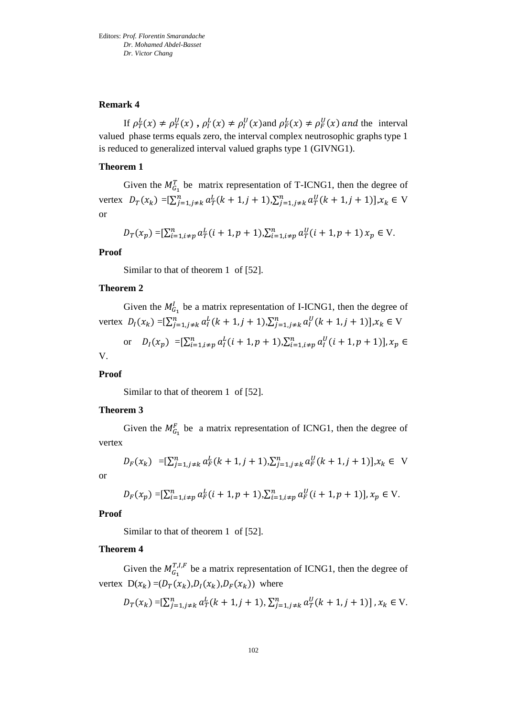#### **Remark 4**

If  $\rho_T^L(x) \neq \rho_T^U(x)$ ,  $\rho_I^L(x) \neq \rho_I^U(x)$  and  $\rho_F^L(x) \neq \rho_F^U(x)$  and the interval valued phase terms equals zero, the interval complex neutrosophic graphs type 1 is reduced to generalized interval valued graphs type 1 (GIVNG1).

#### **Theorem 1**

Given the  $M_{G_1}^T$  be matrix representation of T-ICNG1, then the degree of vertex  $D_T(x_k) = \left[\sum_{j=1, j \neq k}^n a_T^L(k+1, j+1), \sum_{j=1, j \neq k}^n a_T^U(k+1, j+1)\right], x_k \in V$ or

$$
D_T(x_p) = \left[\sum_{i=1, i \neq p}^{n} a_T^L(i+1, p+1), \sum_{i=1, i \neq p}^{n} a_T^U(i+1, p+1) \, x_p \in V.\right]
$$

#### **Proof**

Similar to that of theorem 1 of [52].

#### **Theorem 2**

Given the  $M_{G_1}^l$  be a matrix representation of I-ICNG1, then the degree of vertex  $D_I(x_k) = \left[\sum_{j=1, j \neq k}^n a_I^L(k+1, j+1), \sum_{j=1, j \neq k}^n a_I^U(k+1, j+1)\right], x_k \in V$ 

or 
$$
D_I(x_p) = [\sum_{i=1, i \neq p}^n a_i^L(i + 1, p + 1), \sum_{i=1, i \neq p}^n a_i^U(i + 1, p + 1)], x_p \in
$$

V.

**Proof** 

Similar to that of theorem 1 of [52].

#### **Theorem 3**

Given the  $M_{G_1}^F$  be a matrix representation of ICNG1, then the degree of vertex

$$
D_F(x_k) = \left[\sum_{j=1,j\neq k}^{n} a_F^L(k+1,j+1), \sum_{j=1,j\neq k}^{n} a_F^U(k+1,j+1)\right], x_k \in V
$$

or

$$
D_F(x_p) = \left[\sum_{i=1, i \neq p}^{n} a_F^L(i+1, p+1), \sum_{i=1, i \neq p}^{n} a_F^U(i+1, p+1)\right], x_p \in V.
$$

**Proof** 

Similar to that of theorem 1 of [52].

#### **Theorem 4**

Given the  $M_{G_1}^{T,I,F}$  be a matrix representation of ICNG1, then the degree of vertex  $D(x_k) = (D_T(x_k), D_I(x_k), D_F(x_k))$  where

$$
D_T(x_k) = \left[\sum_{j=1,j\neq k}^{n} a_T^L(k+1,j+1), \sum_{j=1,j\neq k}^{n} a_T^U(k+1,j+1)\right], x_k \in V.
$$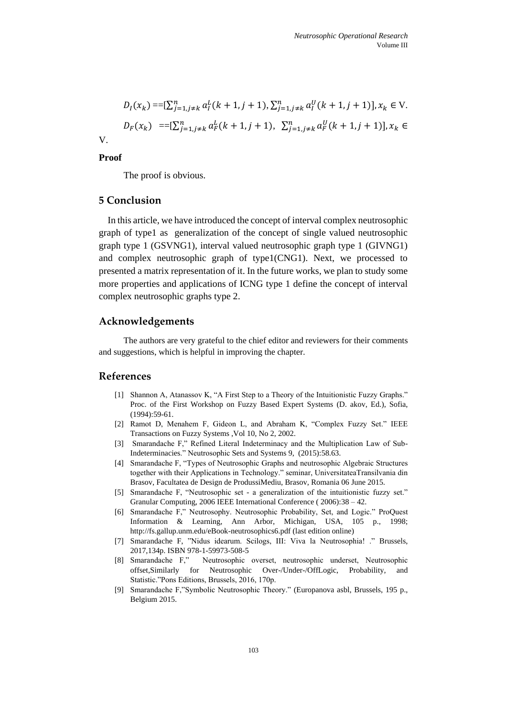$$
D_I(x_k) = \left[\sum_{j=1,j\neq k}^{n} a_I^L(k+1,j+1), \sum_{j=1,j\neq k}^{n} a_I^U(k+1,j+1)\right], x_k \in V.
$$
  

$$
D_F(x_k) = \left[\sum_{j=1,j\neq k}^{n} a_F^L(k+1,j+1), \sum_{j=1,j\neq k}^{n} a_F^U(k+1,j+1)\right], x_k \in V.
$$

**Proof**

V.

The proof is obvious.

# **5 Conclusion**

In this article, we have introduced the concept of interval complex neutrosophic graph of type1 as generalization of the concept of single valued neutrosophic graph type 1 (GSVNG1), interval valued neutrosophic graph type 1 (GIVNG1) and complex neutrosophic graph of type1(CNG1). Next, we processed to presented a matrix representation of it. In the future works, we plan to study some more properties and applications of ICNG type 1 define the concept of interval complex neutrosophic graphs type 2.

#### **Acknowledgements**

The authors are very grateful to the chief editor and reviewers for their comments and suggestions, which is helpful in improving the chapter.

# **References**

- [1] Shannon A, Atanassov K, "A First Step to a Theory of the Intuitionistic Fuzzy Graphs." Proc. of the First Workshop on Fuzzy Based Expert Systems (D. akov, Ed.), Sofia, (1994):59-61.
- [2] Ramot D, Menahem F, Gideon L, and Abraham K, "Complex Fuzzy Set." IEEE Transactions on Fuzzy Systems ,Vol 10, No 2, 2002.
- [3] Smarandache F," Refined Literal Indeterminacy and the Multiplication Law of Sub-Indeterminacies." Neutrosophic Sets and Systems 9, (2015):58.63.
- [4] Smarandache F, "Types of Neutrosophic Graphs and neutrosophic Algebraic Structures together with their Applications in Technology." seminar, UniversitateaTransilvania din Brasov, Facultatea de Design de ProdussiMediu, Brasov, Romania 06 June 2015.
- [5] Smarandache F, "Neutrosophic set a generalization of the intuitionistic fuzzy set." Granular Computing, 2006 IEEE International Conference ( 2006):38 – 42.
- [6] Smarandache F," Neutrosophy. Neutrosophic Probability, Set, and Logic." ProQuest Information & Learning, Ann Arbor, Michigan, USA, 105 p., 1998; http://fs.gallup.unm.edu/eBook-neutrosophics6.pdf (last edition online)
- [7] Smarandache F, "Nidus idearum. Scilogs, III: Viva la Neutrosophia! ." Brussels, 2017,134p. ISBN 978-1-59973-508-5
- [8] Smarandache F," Neutrosophic overset, neutrosophic underset, Neutrosophic offset,Similarly for Neutrosophic Over-/Under-/OffLogic, Probability, and Statistic."Pons Editions, Brussels, 2016, 170p.
- [9] Smarandache F,"Symbolic Neutrosophic Theory." (Europanova asbl, Brussels, 195 p., Belgium 2015.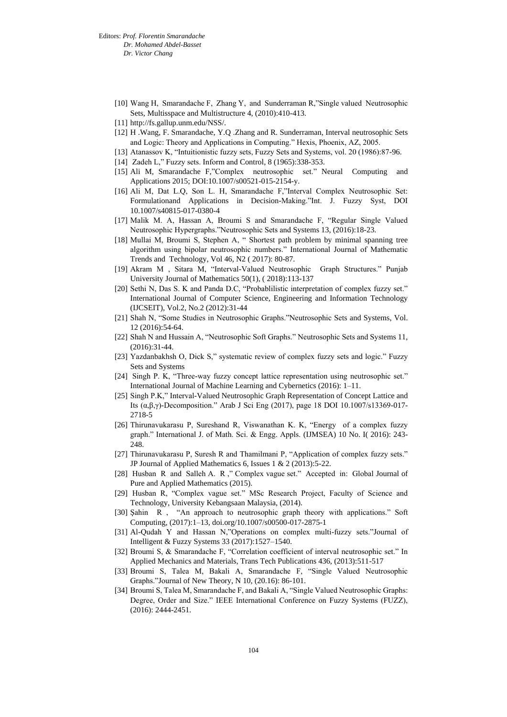- [10] Wang H, Smarandache F, Zhang Y, and Sunderraman R,"Single valued Neutrosophic Sets, Multisspace and Multistructure 4, (2010):410-413.
- [11] http://fs.gallup.unm.edu/NSS/.
- [12] H .Wang, F. Smarandache, Y.Q .Zhang and R. Sunderraman, Interval neutrosophic Sets and Logic: Theory and Applications in Computing." Hexis, Phoenix, AZ, 2005.
- [13] Atanassov K, "Intuitionistic fuzzy sets, Fuzzy Sets and Systems, vol. 20 (1986):87-96.
- [14] Zadeh L," Fuzzy sets. Inform and Control, 8 (1965):338-353.
- [15] Ali M, Smarandache F,"Complex neutrosophic set." Neural Computing and Applications 2015; DOI:10.1007/s00521-015-2154-y.
- [16] Ali M, Dat L.Q, Son L. H, Smarandache F,"Interval Complex Neutrosophic Set: Formulationand Applications in Decision-Making."Int. J. Fuzzy Syst, DOI 10.1007/s40815-017-0380-4
- [17] Malik M. A, Hassan A, Broumi S and Smarandache F, "Regular Single Valued Neutrosophic Hypergraphs."Neutrosophic Sets and Systems 13, (2016):18-23.
- [18] Mullai M, Broumi S, Stephen A, " Shortest path problem by minimal spanning tree algorithm using bipolar neutrosophic numbers." International Journal of Mathematic Trends and Technology, Vol 46, N2 ( 2017): 80-87.
- [19] Akram M , Sitara M, "Interval-Valued Neutrosophic Graph Structures." Punjab University Journal of Mathematics 50(1), ( 2018):113-137
- [20] Sethi N, Das S. K and Panda D.C, "Probablilistic interpretation of complex fuzzy set." International Journal of Computer Science, Engineering and Information Technology (IJCSEIT), Vol.2, No.2 (2012):31-44
- [21] Shah N, "Some Studies in Neutrosophic Graphs."Neutrosophic Sets and Systems, Vol. 12 (2016):54-64.
- [22] Shah N and Hussain A, "Neutrosophic Soft Graphs." Neutrosophic Sets and Systems 11, (2016):31-44.
- [23] Yazdanbakhsh O, Dick S," systematic review of complex fuzzy sets and logic." Fuzzy Sets and Systems
- [24] Singh P. K, "Three-way fuzzy concept lattice representation using neutrosophic set." International Journal of Machine Learning and Cybernetics (2016): 1–11.
- [25] Singh P.K," Interval-Valued Neutrosophic Graph Representation of Concept Lattice and Its (α,β,γ)-Decomposition." Arab J Sci Eng (2017), page 18 DOI 10.1007/s13369-017- 2718-5
- [26] Thirunavukarasu P, Sureshand R, Viswanathan K. K, "Energy of a complex fuzzy graph." International J. of Math. Sci. & Engg. Appls. (IJMSEA) 10 No. I( 2016): 243- 248.
- [27] Thirunavukarasu P, Suresh R and Thamilmani P, "Application of complex fuzzy sets." JP Journal of Applied Mathematics 6, Issues 1 & 2 (2013):5-22.
- [28] Husban R and Salleh A. R ," Complex vague set." Accepted in: Global Journal of Pure and Applied Mathematics (2015).
- [29] Husban R, "Complex vague set." MSc Research Project, Faculty of Science and Technology, University Kebangsaan Malaysia, (2014).
- [30] Şahin R , "An approach to neutrosophic graph theory with applications." Soft Computing, (2017):1–13, doi.org/10.1007/s00500-017-2875-1
- [31] Al-Qudah Y and Hassan N,"Operations on complex multi-fuzzy sets."Journal of Intelligent & Fuzzy Systems 33 (2017):1527–1540.
- [32] Broumi S, & Smarandache F, "Correlation coefficient of interval neutrosophic set." In Applied Mechanics and Materials, Trans Tech Publications 436, (2013):511-517
- [33] Broumi S, Talea M, Bakali A, Smarandache F, "Single Valued Neutrosophic Graphs."Journal of New Theory, N 10, (20.16): 86-101.
- [34] Broumi S, Talea M, Smarandache F, and Bakali A, "Single Valued Neutrosophic Graphs: Degree, Order and Size." IEEE International Conference on Fuzzy Systems (FUZZ), (2016): 2444-2451.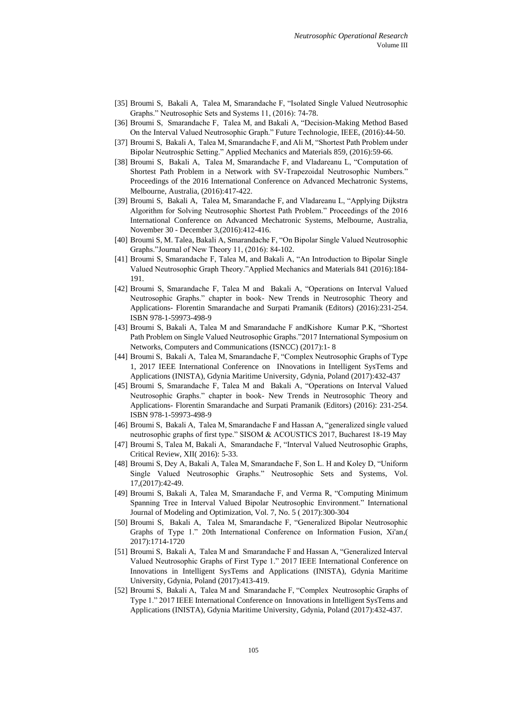- [35] Broumi S, Bakali A, Talea M, Smarandache F, "Isolated Single Valued Neutrosophic Graphs." Neutrosophic Sets and Systems 11, (2016): 74-78.
- [36] Broumi S, Smarandache F, Talea M, and Bakali A, "Decision-Making Method Based On the Interval Valued Neutrosophic Graph." Future Technologie, IEEE, (2016):44-50.
- [37] Broumi S, Bakali A, Talea M, Smarandache F, and Ali M, "Shortest Path Problem under Bipolar Neutrosphic Setting." Applied Mechanics and Materials 859, (2016):59-66.
- [38] Broumi S, Bakali A, Talea M, Smarandache F, and Vladareanu L, "Computation of Shortest Path Problem in a Network with SV-Trapezoidal Neutrosophic Numbers." Proceedings of the 2016 International Conference on Advanced Mechatronic Systems, Melbourne, Australia, (2016):417-422.
- [39] Broumi S, Bakali A, Talea M, Smarandache F, and Vladareanu L, "Applying Dijkstra Algorithm for Solving Neutrosophic Shortest Path Problem." Proceedings of the 2016 International Conference on Advanced Mechatronic Systems, Melbourne, Australia, November 30 - December 3,(2016):412-416.
- [40] Broumi S, M. Talea, Bakali A, Smarandache F, "On Bipolar Single Valued Neutrosophic Graphs."Journal of New Theory 11, (2016): 84-102.
- [41] Broumi S, Smarandache F, Talea M, and Bakali A, "An Introduction to Bipolar Single Valued Neutrosophic Graph Theory."Applied Mechanics and Materials 841 (2016):184- 191.
- [42] Broumi S, Smarandache F, Talea M and Bakali A, "Operations on Interval Valued Neutrosophic Graphs." chapter in book- New Trends in Neutrosophic Theory and Applications- Florentin Smarandache and Surpati Pramanik (Editors) (2016):231-254. ISBN 978-1-59973-498-9
- [43] Broumi S, Bakali A, Talea M and Smarandache F andKishore Kumar P.K, "Shortest Path Problem on Single Valued Neutrosophic Graphs."2017 International Symposium on Networks, Computers and Communications (ISNCC) (2017):1- 8
- [44] Broumi S, Bakali A, Talea M, Smarandache F, "Complex Neutrosophic Graphs of Type 1, 2017 IEEE International Conference on INnovations in Intelligent SysTems and Applications (INISTA), Gdynia Maritime University, Gdynia, Poland (2017):432-437
- [45] Broumi S, Smarandache F, Talea M and Bakali A, "Operations on Interval Valued Neutrosophic Graphs." chapter in book- New Trends in Neutrosophic Theory and Applications- Florentin Smarandache and Surpati Pramanik (Editors) (2016): 231-254. ISBN 978-1-59973-498-9
- [46] Broumi S, Bakali A, Talea M, Smarandache F and Hassan A, "generalized single valued neutrosophic graphs of first type." SISOM & ACOUSTICS 2017, Bucharest 18-19 May
- [47] Broumi S, Talea M, Bakali A, Smarandache F, "Interval Valued Neutrosophic Graphs, Critical Review, XII( 2016): 5-33.
- [48] Broumi S, Dey A, Bakali A, Talea M, Smarandache F, Son L. H and Koley D, "Uniform Single Valued Neutrosophic Graphs." Neutrosophic Sets and Systems, Vol. 17,(2017):42-49.
- [49] Broumi S, Bakali A, Talea M, Smarandache F, and Verma R, "Computing Minimum Spanning Tree in Interval Valued Bipolar Neutrosophic Environment." International Journal of Modeling and Optimization, Vol. 7, No. 5 ( 2017):300-304
- [50] Broumi S, Bakali A, Talea M, Smarandache F, "Generalized Bipolar Neutrosophic Graphs of Type 1." 20th International Conference on Information Fusion, Xi'an,( 2017):1714-1720
- [51] Broumi S, Bakali A, Talea M and Smarandache F and Hassan A, "Generalized Interval Valued Neutrosophic Graphs of First Type 1." 2017 IEEE International Conference on Innovations in Intelligent SysTems and Applications (INISTA), Gdynia Maritime University, Gdynia, Poland (2017):413-419.
- [52] Broumi S, Bakali A, Talea M and Smarandache F, "Complex Neutrosophic Graphs of Type 1." 2017 IEEE International Conference on Innovations in Intelligent SysTems and Applications (INISTA), Gdynia Maritime University, Gdynia, Poland (2017):432-437.